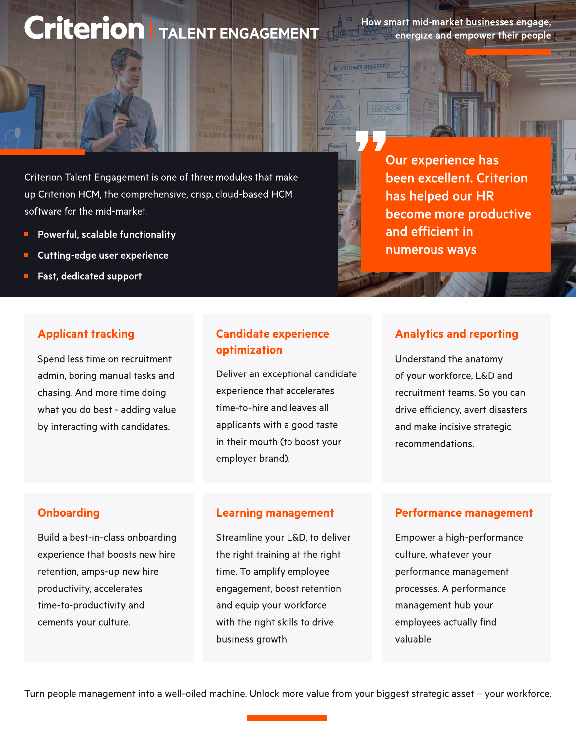# **Criterion | TALENT ENGAGEMENT**

How smart mid-market businesses engage, energize and empower their people

**ECUSTOMER OBSESSED** 

**ERAZOS** 

Criterion Talent Engagement is one of three modules that make up Criterion HCM, the comprehensive, crisp, cloud-based HCM software for the mid-market.

- Powerful, scalable functionality
- Cutting-edge user experience
- Fast, dedicated support  $\blacksquare$

# Applicant tracking

Spend less time on recruitment admin, boring manual tasks and chasing. And more time doing what you do best - adding value by interacting with candidates.

# Candidate experience **optimization**<br>
Understand the anatomy

Deliver an exceptional candidate experience that accelerates time-to-hire and leaves all applicants with a good taste in their mouth (to boost your employer brand).

Our experience has been excellent. Criterion has helped our HR become more productive and efficient in numerous ways

#### Analytics and reporting

of your workforce, L&D and recruitment teams. So you can drive efficiency, avert disasters and make incisive strategic recommendations.

#### **Onboarding**

Build a best-in-class onboarding experience that boosts new hire retention, amps-up new hire productivity, accelerates time-to-productivity and cements your culture.

#### Learning management

Streamline your L&D, to deliver the right training at the right time. To amplify employee engagement, boost retention and equip your workforce with the right skills to drive business growth.

#### Performance management

Empower a high-performance culture, whatever your performance management processes. A performance management hub your employees actually find valuable.

Turn people management into a well-oiled machine. Unlock more value from your biggest strategic asset - your workforce.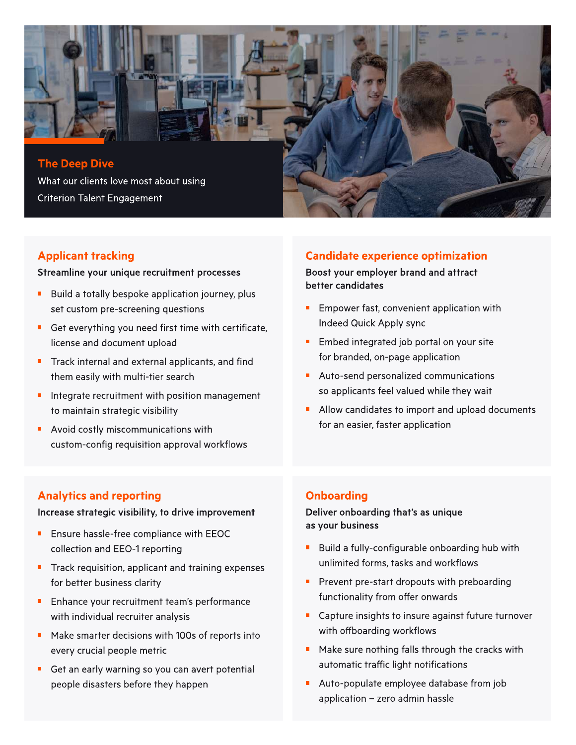

# Applicant tracking

Streamline your unique recruitment processes

- Build a totally bespoke application journey, plus set custom pre-screening questions
- Get everything you need first time with certificate, license and document upload
- Track internal and external applicants, and find them easily with multi-tier search
- Integrate recruitment with position management to maintain strategic visibility
- Avoid costly miscommunications with custom-config requisition approval workflows

# Candidate experience optimization

Boost your employer brand and attract better candidates

- Empower fast, convenient application with Indeed Quick Apply sync
- Embed integrated job portal on your site  $\blacksquare$ for branded, on-page application
- Auto-send personalized communications so applicants feel valued while they wait
- Allow candidates to import and upload documents for an easier, faster application

# Analytics and reporting

Increase strategic visibility, to drive improvement

- Ensure hassle-free compliance with EEOC collection and EEO-1 reporting
- Track requisition, applicant and training expenses П for better business clarity
- Enhance your recruitment team's performance with individual recruiter analysis
- Make smarter decisions with 100s of reports into every crucial people metric
- Get an early warning so you can avert potential people disasters before they happen

# **Onboarding**

Deliver onboarding that's as unique as your business

- Build a fully-configurable onboarding hub with unlimited forms, tasks and workflows
- **Prevent pre-start dropouts with preboarding** functionality from offer onwards
- $\blacksquare$ Capture insights to insure against future turnover with offboarding workflows
- $\blacksquare$ Make sure nothing falls through the cracks with automatic traffic light notifications
- Auto-populate employee database from job application  $-$  zero admin hassle